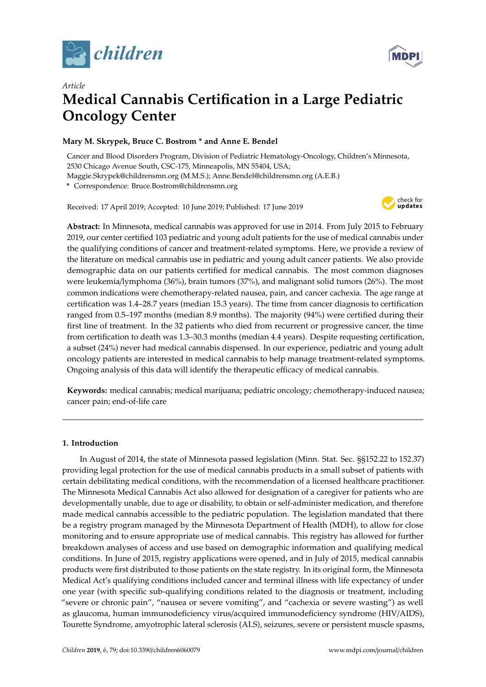



# *Article* **Medical Cannabis Certification in a Large Pediatric Oncology Center**

## **Mary M. Skrypek, Bruce C. Bostrom \* and Anne E. Bendel**

Cancer and Blood Disorders Program, Division of Pediatric Hematology-Oncology, Children's Minnesota, 2530 Chicago Avenue South, CSC-175, Minneapolis, MN 55404, USA;

Maggie.Skrypek@childrensmn.org (M.M.S.); Anne.Bendel@childrensmn.org (A.E.B.)

**\*** Correspondence: Bruce.Bostrom@childrensmn.org

Received: 17 April 2019; Accepted: 10 June 2019; Published: 17 June 2019



**Abstract:** In Minnesota, medical cannabis was approved for use in 2014. From July 2015 to February 2019, our center certified 103 pediatric and young adult patients for the use of medical cannabis under the qualifying conditions of cancer and treatment-related symptoms. Here, we provide a review of the literature on medical cannabis use in pediatric and young adult cancer patients. We also provide demographic data on our patients certified for medical cannabis. The most common diagnoses were leukemia/lymphoma (36%), brain tumors (37%), and malignant solid tumors (26%). The most common indications were chemotherapy-related nausea, pain, and cancer cachexia. The age range at certification was 1.4–28.7 years (median 15.3 years). The time from cancer diagnosis to certification ranged from 0.5–197 months (median 8.9 months). The majority (94%) were certified during their first line of treatment. In the 32 patients who died from recurrent or progressive cancer, the time from certification to death was 1.3–30.3 months (median 4.4 years). Despite requesting certification, a subset (24%) never had medical cannabis dispensed. In our experience, pediatric and young adult oncology patients are interested in medical cannabis to help manage treatment-related symptoms. Ongoing analysis of this data will identify the therapeutic efficacy of medical cannabis.

**Keywords:** medical cannabis; medical marijuana; pediatric oncology; chemotherapy-induced nausea; cancer pain; end-of-life care

## **1. Introduction**

In August of 2014, the state of Minnesota passed legislation (Minn. Stat. Sec. §§152.22 to 152.37) providing legal protection for the use of medical cannabis products in a small subset of patients with certain debilitating medical conditions, with the recommendation of a licensed healthcare practitioner. The Minnesota Medical Cannabis Act also allowed for designation of a caregiver for patients who are developmentally unable, due to age or disability, to obtain or self-administer medication, and therefore made medical cannabis accessible to the pediatric population. The legislation mandated that there be a registry program managed by the Minnesota Department of Health (MDH), to allow for close monitoring and to ensure appropriate use of medical cannabis. This registry has allowed for further breakdown analyses of access and use based on demographic information and qualifying medical conditions. In June of 2015, registry applications were opened, and in July of 2015, medical cannabis products were first distributed to those patients on the state registry. In its original form, the Minnesota Medical Act's qualifying conditions included cancer and terminal illness with life expectancy of under one year (with specific sub-qualifying conditions related to the diagnosis or treatment, including "severe or chronic pain", "nausea or severe vomiting", and "cachexia or severe wasting") as well as glaucoma, human immunodeficiency virus/acquired immunodeficiency syndrome (HIV/AIDS), Tourette Syndrome, amyotrophic lateral sclerosis (ALS), seizures, severe or persistent muscle spasms,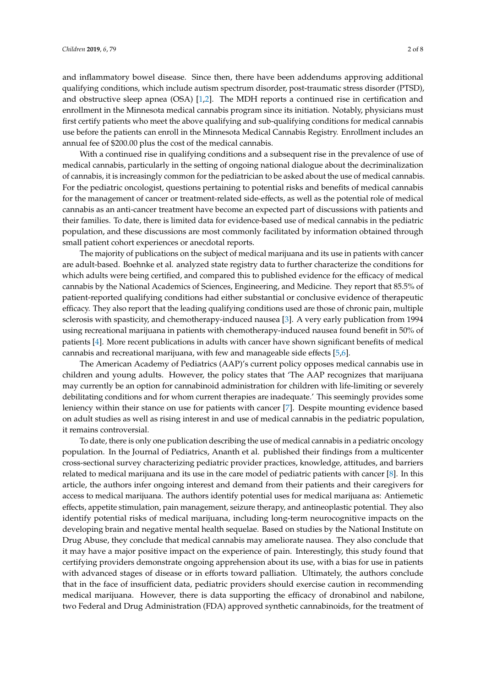and inflammatory bowel disease. Since then, there have been addendums approving additional qualifying conditions, which include autism spectrum disorder, post-traumatic stress disorder (PTSD), and obstructive sleep apnea (OSA) [\[1,](#page-7-0)[2\]](#page-7-1). The MDH reports a continued rise in certification and enrollment in the Minnesota medical cannabis program since its initiation. Notably, physicians must first certify patients who meet the above qualifying and sub-qualifying conditions for medical cannabis use before the patients can enroll in the Minnesota Medical Cannabis Registry. Enrollment includes an annual fee of \$200.00 plus the cost of the medical cannabis.

With a continued rise in qualifying conditions and a subsequent rise in the prevalence of use of medical cannabis, particularly in the setting of ongoing national dialogue about the decriminalization of cannabis, it is increasingly common for the pediatrician to be asked about the use of medical cannabis. For the pediatric oncologist, questions pertaining to potential risks and benefits of medical cannabis for the management of cancer or treatment-related side-effects, as well as the potential role of medical cannabis as an anti-cancer treatment have become an expected part of discussions with patients and their families. To date, there is limited data for evidence-based use of medical cannabis in the pediatric population, and these discussions are most commonly facilitated by information obtained through small patient cohort experiences or anecdotal reports.

The majority of publications on the subject of medical marijuana and its use in patients with cancer are adult-based. Boehnke et al. analyzed state registry data to further characterize the conditions for which adults were being certified, and compared this to published evidence for the efficacy of medical cannabis by the National Academics of Sciences, Engineering, and Medicine. They report that 85.5% of patient-reported qualifying conditions had either substantial or conclusive evidence of therapeutic efficacy. They also report that the leading qualifying conditions used are those of chronic pain, multiple sclerosis with spasticity, and chemotherapy-induced nausea [\[3\]](#page-7-2). A very early publication from 1994 using recreational marijuana in patients with chemotherapy-induced nausea found benefit in 50% of patients [\[4\]](#page-7-3). More recent publications in adults with cancer have shown significant benefits of medical cannabis and recreational marijuana, with few and manageable side effects [\[5,](#page-7-4)[6\]](#page-7-5).

The American Academy of Pediatrics (AAP)'s current policy opposes medical cannabis use in children and young adults. However, the policy states that 'The AAP recognizes that marijuana may currently be an option for cannabinoid administration for children with life-limiting or severely debilitating conditions and for whom current therapies are inadequate.' This seemingly provides some leniency within their stance on use for patients with cancer [\[7\]](#page-7-6). Despite mounting evidence based on adult studies as well as rising interest in and use of medical cannabis in the pediatric population, it remains controversial.

To date, there is only one publication describing the use of medical cannabis in a pediatric oncology population. In the Journal of Pediatrics, Ananth et al. published their findings from a multicenter cross-sectional survey characterizing pediatric provider practices, knowledge, attitudes, and barriers related to medical marijuana and its use in the care model of pediatric patients with cancer [\[8\]](#page-7-7). In this article, the authors infer ongoing interest and demand from their patients and their caregivers for access to medical marijuana. The authors identify potential uses for medical marijuana as: Antiemetic effects, appetite stimulation, pain management, seizure therapy, and antineoplastic potential. They also identify potential risks of medical marijuana, including long-term neurocognitive impacts on the developing brain and negative mental health sequelae. Based on studies by the National Institute on Drug Abuse, they conclude that medical cannabis may ameliorate nausea. They also conclude that it may have a major positive impact on the experience of pain. Interestingly, this study found that certifying providers demonstrate ongoing apprehension about its use, with a bias for use in patients with advanced stages of disease or in efforts toward palliation. Ultimately, the authors conclude that in the face of insufficient data, pediatric providers should exercise caution in recommending medical marijuana. However, there is data supporting the efficacy of dronabinol and nabilone, two Federal and Drug Administration (FDA) approved synthetic cannabinoids, for the treatment of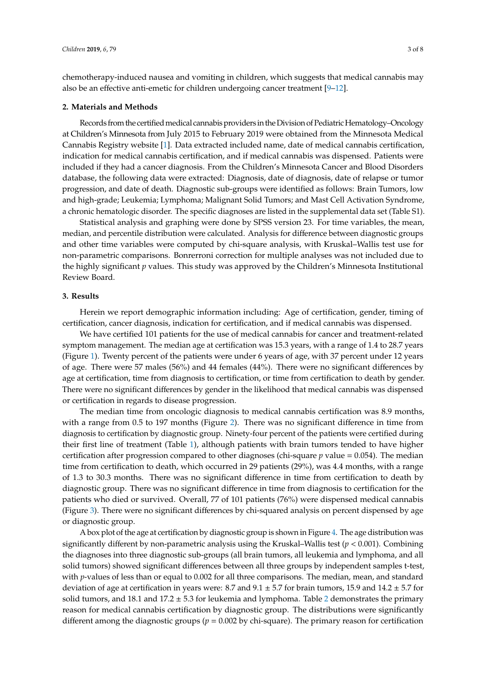chemotherapy-induced nausea and vomiting in children, which suggests that medical cannabis may also be an effective anti-emetic for children undergoing cancer treatment [\[9–](#page-7-8)[12\]](#page-7-9).

#### **2. Materials and Methods**

Records from the certified medical cannabis providers in the Division of Pediatric Hematology–Oncology at Children's Minnesota from July 2015 to February 2019 were obtained from the Minnesota Medical Cannabis Registry website [\[1\]](#page-7-0). Data extracted included name, date of medical cannabis certification, indication for medical cannabis certification, and if medical cannabis was dispensed. Patients were included if they had a cancer diagnosis. From the Children's Minnesota Cancer and Blood Disorders database, the following data were extracted: Diagnosis, date of diagnosis, date of relapse or tumor progression, and date of death. Diagnostic sub-groups were identified as follows: Brain Tumors, low and high-grade; Leukemia; Lymphoma; Malignant Solid Tumors; and Mast Cell Activation Syndrome, a chronic hematologic disorder. The specific diagnoses are listed in the supplemental data set (Table S1).

Statistical analysis and graphing were done by SPSS version 23. For time variables, the mean, median, and percentile distribution were calculated. Analysis for difference between diagnostic groups and other time variables were computed by chi-square analysis, with Kruskal–Wallis test use for non-parametric comparisons. Bonrerroni correction for multiple analyses was not included due to the highly significant *p* values. This study was approved by the Children's Minnesota Institutional Review Board.

#### **3. Results**

Herein we report demographic information including: Age of certification, gender, timing of certification, cancer diagnosis, indication for certification, and if medical cannabis was dispensed.

We have certified 101 patients for the use of medical cannabis for cancer and treatment-related symptom management. The median age at certification was 15.3 years, with a range of 1.4 to 28.7 years (Figure [1\)](#page-3-0). Twenty percent of the patients were under 6 years of age, with 37 percent under 12 years of age. There were 57 males (56%) and 44 females (44%). There were no significant differences by age at certification, time from diagnosis to certification, or time from certification to death by gender. There were no significant differences by gender in the likelihood that medical cannabis was dispensed or certification in regards to disease progression.

The median time from oncologic diagnosis to medical cannabis certification was 8.9 months, with a range from 0.5 to 197 months (Figure [2\)](#page-3-1). There was no significant difference in time from diagnosis to certification by diagnostic group. Ninety-four percent of the patients were certified during their first line of treatment (Table [1\)](#page-5-0), although patients with brain tumors tended to have higher certification after progression compared to other diagnoses (chi-square *p* value = 0.054). The median time from certification to death, which occurred in 29 patients (29%), was 4.4 months, with a range of 1.3 to 30.3 months. There was no significant difference in time from certification to death by diagnostic group. There was no significant difference in time from diagnosis to certification for the patients who died or survived. Overall, 77 of 101 patients (76%) were dispensed medical cannabis (Figure [3\)](#page-4-0). There were no significant differences by chi-squared analysis on percent dispensed by age or diagnostic group.

A box plot of the age at certification by diagnostic group is shown in Figure [4.](#page-4-1) The age distribution was significantly different by non-parametric analysis using the Kruskal–Wallis test (*p* < 0.001). Combining the diagnoses into three diagnostic sub-groups (all brain tumors, all leukemia and lymphoma, and all solid tumors) showed significant differences between all three groups by independent samples t-test, with *p*-values of less than or equal to 0.002 for all three comparisons. The median, mean, and standard deviation of age at certification in years were: 8.7 and  $9.1 \pm 5.7$  for brain tumors, 15.9 and  $14.2 \pm 5.7$  for solid tumors, and 18.1 and 17.[2](#page-5-1)  $\pm$  5.3 for leukemia and lymphoma. Table 2 demonstrates the primary reason for medical cannabis certification by diagnostic group. The distributions were significantly different among the diagnostic groups ( $p = 0.002$  by chi-square). The primary reason for certification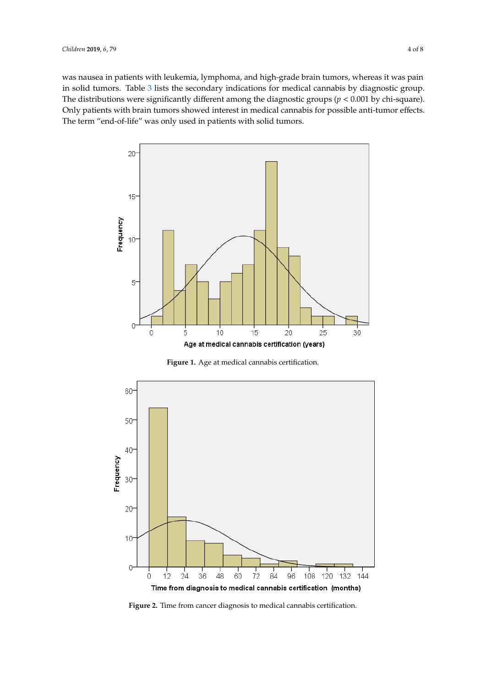was nausea in patients with leukemia, lymphoma, and high-grade brain tumors, whereas it was pain in solid tumors. Table [3](#page-5-2) lists the secondary indications for medical cannabis by diagnostic group. The distributions were significantly different among the diagnostic groups ( $p < 0.001$  by chi-square). Only patients with brain tumors showed interest in medical cannabis for possible anti-tumor effects. The term "end-of-life" was only used in patients with solid tumors. for possible anti-tumor effects. The term  $\frac{1}{2}$  was only used in patients with solid tumors.  $g_{\rm{max}}$  ( $g_{\rm{max}}$ ) of  $\frac{1}{2}$  by  $g_{\rm{max}}$  cannot used in patients with solid tumors showed in medical cannot cannot cannot cannot cannot cannot cannot cannot cannot cannot cannot cannot cannot cannot cannot cannot c for possible anti-tumor effects. The term  $\mathbf{r}$ 

<span id="page-3-0"></span>

**Figure 1.** Age at medical cannabis certification. **Figure 1.** Age at medical cannabis certification. **Figure 1.** Age at medical cannabis certification.

<span id="page-3-1"></span>

Figure 2. Time from cancer diagnosis to medical cannabis certification.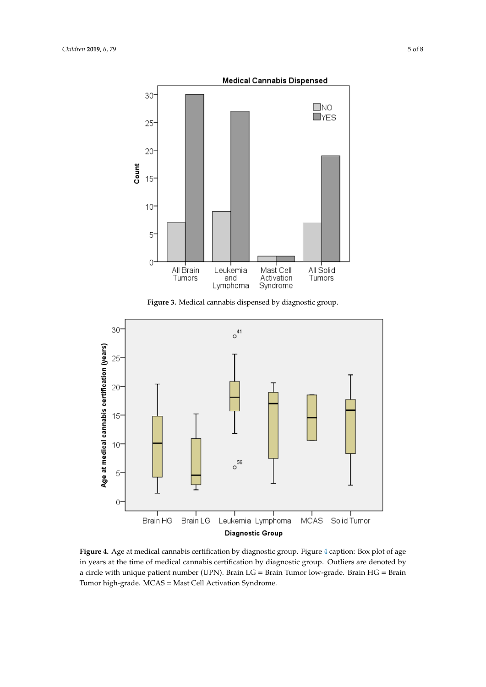<span id="page-4-0"></span>

**Figure 3.** Medical cannabis dispensed by diagnostic group. **Figure 3.** Medical cannabis dispensed by diagnostic group. **Figure 3.** Medical cannabis dispensed by diagnostic group.

<span id="page-4-1"></span>

**Figure 4.** Age at medical cannabis certification by diagnostic group. Figure 4 caption: Box plot of age a circle with unique patient number (UPN). Brain LG = Brain Tumor low-grade. Brain HG = Brain Tumor high-grade. MCAS = Mast Cell Activation Syndrome. in years at the time of medical cannabis certification by diagnostic group. Outliers are denoted by **Figure 4.** Age at medical cannabis certification by diagnostic group. Figure [4](#page-4-1) caption: Box plot of age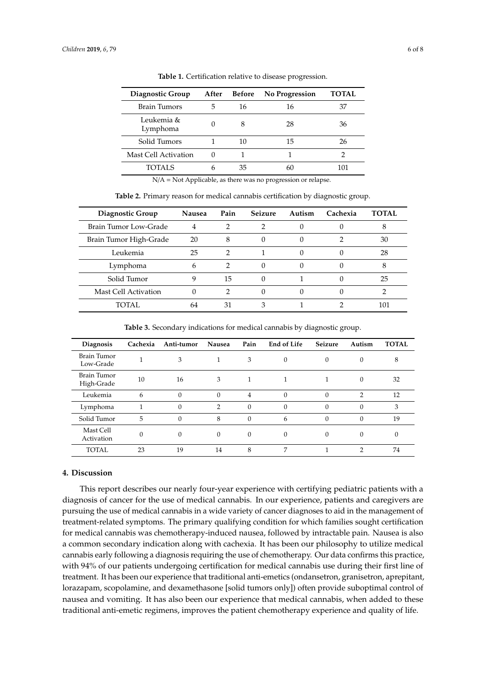<span id="page-5-0"></span>

| Diagnostic Group       | After | <b>Before</b> | <b>No Progression</b> | TOTAL |
|------------------------|-------|---------------|-----------------------|-------|
| <b>Brain Tumors</b>    | 5     | 16            | 16                    |       |
| Leukemia &<br>Lymphoma |       | 8             | 28                    | 36    |
| Solid Tumors           |       | 10            | 15                    | 26    |
| Mast Cell Activation   |       |               |                       |       |
| TOTALS                 |       | 35            | 60                    | 101   |

**Table 1.** Certification relative to disease progression.

N/A = Not Applicable, as there was no progression or relapse.

**Table 2.** Primary reason for medical cannabis certification by diagnostic group.

<span id="page-5-1"></span>

| Diagnostic Group       | <b>Nausea</b> | Pain          | <b>Seizure</b> | Autism | Cachexia | <b>TOTAL</b> |
|------------------------|---------------|---------------|----------------|--------|----------|--------------|
| Brain Tumor Low-Grade  | 4             |               |                |        |          |              |
| Brain Tumor High-Grade | 20            | 8             |                | 0      |          | 30           |
| Leukemia               | 25            | $\mathcal{P}$ |                | 0      |          | 28           |
| Lymphoma               | 6             | າ             |                |        |          |              |
| Solid Tumor            | q             | 15            |                |        |          | 25           |
| Mast Cell Activation   |               | າ             |                |        |          |              |
| TOTAL                  | 64            | 31            | 3              |        |          | 101          |

<span id="page-5-2"></span>

| Diagnosis                 | Cachexia | Anti-tumor | Nausea         | Pain         | <b>End of Life</b> | Seizure  | Autism   | <b>TOTAL</b> |
|---------------------------|----------|------------|----------------|--------------|--------------------|----------|----------|--------------|
| Brain Tumor<br>Low-Grade  |          | 3          |                | 3            | $\theta$           | $\Omega$ | 0        | 8            |
| Brain Tumor<br>High-Grade | 10       | 16         | 3              |              |                    |          | 0        | 32           |
| Leukemia                  | 6        | $\Omega$   | $\Omega$       | 4            | $\Omega$           | $\Omega$ | 2        | 12           |
| Lymphoma                  |          | $\Omega$   | $\overline{2}$ | $\mathbf{0}$ | $\Omega$           | $\Omega$ | $\Omega$ | 3            |
| Solid Tumor               | 5        | $\Omega$   | 8              | $\mathbf{0}$ | 6                  | $\Omega$ | $\Omega$ | 19           |
| Mast Cell<br>Activation   | $\Omega$ | $\Omega$   | $\Omega$       | $\mathbf{0}$ | $\Omega$           | $\Omega$ | $\Omega$ | $\Omega$     |
| <b>TOTAL</b>              | 23       | 19         | 14             | 8            | 7                  |          | C        | 74           |

**Table 3.** Secondary indications for medical cannabis by diagnostic group.

#### **4. Discussion**

This report describes our nearly four-year experience with certifying pediatric patients with a diagnosis of cancer for the use of medical cannabis. In our experience, patients and caregivers are pursuing the use of medical cannabis in a wide variety of cancer diagnoses to aid in the management of treatment-related symptoms. The primary qualifying condition for which families sought certification for medical cannabis was chemotherapy-induced nausea, followed by intractable pain. Nausea is also a common secondary indication along with cachexia. It has been our philosophy to utilize medical cannabis early following a diagnosis requiring the use of chemotherapy. Our data confirms this practice, with 94% of our patients undergoing certification for medical cannabis use during their first line of treatment. It has been our experience that traditional anti-emetics (ondansetron, granisetron, aprepitant, lorazapam, scopolamine, and dexamethasone [solid tumors only]) often provide suboptimal control of nausea and vomiting. It has also been our experience that medical cannabis, when added to these traditional anti-emetic regimens, improves the patient chemotherapy experience and quality of life.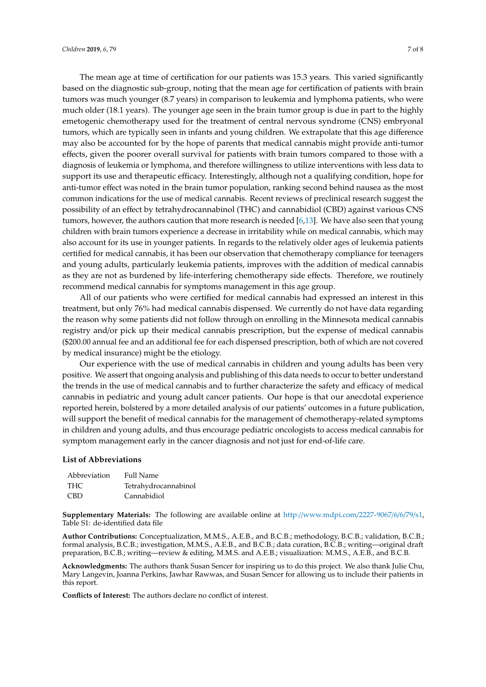The mean age at time of certification for our patients was 15.3 years. This varied significantly based on the diagnostic sub-group, noting that the mean age for certification of patients with brain tumors was much younger (8.7 years) in comparison to leukemia and lymphoma patients, who were much older (18.1 years). The younger age seen in the brain tumor group is due in part to the highly emetogenic chemotherapy used for the treatment of central nervous syndrome (CNS) embryonal tumors, which are typically seen in infants and young children. We extrapolate that this age difference may also be accounted for by the hope of parents that medical cannabis might provide anti-tumor effects, given the poorer overall survival for patients with brain tumors compared to those with a diagnosis of leukemia or lymphoma, and therefore willingness to utilize interventions with less data to support its use and therapeutic efficacy. Interestingly, although not a qualifying condition, hope for anti-tumor effect was noted in the brain tumor population, ranking second behind nausea as the most common indications for the use of medical cannabis. Recent reviews of preclinical research suggest the possibility of an effect by tetrahydrocannabinol (THC) and cannabidiol (CBD) against various CNS tumors, however, the authors caution that more research is needed [\[6](#page-7-5)[,13\]](#page-7-10). We have also seen that young children with brain tumors experience a decrease in irritability while on medical cannabis, which may also account for its use in younger patients. In regards to the relatively older ages of leukemia patients certified for medical cannabis, it has been our observation that chemotherapy compliance for teenagers and young adults, particularly leukemia patients, improves with the addition of medical cannabis as they are not as burdened by life-interfering chemotherapy side effects. Therefore, we routinely recommend medical cannabis for symptoms management in this age group.

All of our patients who were certified for medical cannabis had expressed an interest in this treatment, but only 76% had medical cannabis dispensed. We currently do not have data regarding the reason why some patients did not follow through on enrolling in the Minnesota medical cannabis registry and/or pick up their medical cannabis prescription, but the expense of medical cannabis (\$200.00 annual fee and an additional fee for each dispensed prescription, both of which are not covered by medical insurance) might be the etiology.

Our experience with the use of medical cannabis in children and young adults has been very positive. We assert that ongoing analysis and publishing of this data needs to occur to better understand the trends in the use of medical cannabis and to further characterize the safety and efficacy of medical cannabis in pediatric and young adult cancer patients. Our hope is that our anecdotal experience reported herein, bolstered by a more detailed analysis of our patients' outcomes in a future publication, will support the benefit of medical cannabis for the management of chemotherapy-related symptoms in children and young adults, and thus encourage pediatric oncologists to access medical cannabis for symptom management early in the cancer diagnosis and not just for end-of-life care.

#### **List of Abbreviations**

| <b>Full Name</b>     |
|----------------------|
| Tetrahydrocannabinol |
| Cannabidiol          |
|                      |

**Supplementary Materials:** The following are available online at http://[www.mdpi.com](http://www.mdpi.com/2227-9067/6/6/79/s1)/2227-9067/6/6/79/s1, Table S1: de-identified data file

**Author Contributions:** Conceptualization, M.M.S., A.E.B., and B.C.B.; methodology, B.C.B.; validation, B.C.B.; formal analysis, B.C.B.; investigation, M.M.S., A.E.B., and B.C.B.; data curation, B.C.B.; writing—original draft preparation, B.C.B.; writing—review & editing, M.M.S. and A.E.B.; visualization: M.M.S., A.E.B., and B.C.B.

**Acknowledgments:** The authors thank Susan Sencer for inspiring us to do this project. We also thank Julie Chu, Mary Langevin, Joanna Perkins, Jawhar Rawwas, and Susan Sencer for allowing us to include their patients in this report.

**Conflicts of Interest:** The authors declare no conflict of interest.